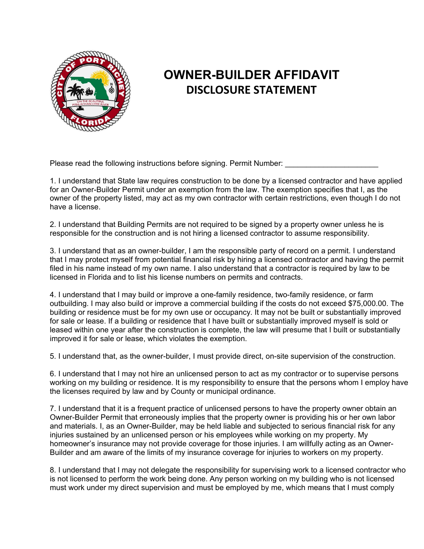

## **OWNER-BUILDER AFFIDAVIT DISCLOSURE STATEMENT**

Please read the following instructions before signing. Permit Number:

1. I understand that State law requires construction to be done by a licensed contractor and have applied for an Owner-Builder Permit under an exemption from the law. The exemption specifies that I, as the owner of the property listed, may act as my own contractor with certain restrictions, even though I do not have a license.

2. I understand that Building Permits are not required to be signed by a property owner unless he is responsible for the construction and is not hiring a licensed contractor to assume responsibility.

3. I understand that as an owner-builder, I am the responsible party of record on a permit. I understand that I may protect myself from potential financial risk by hiring a licensed contractor and having the permit filed in his name instead of my own name. I also understand that a contractor is required by law to be licensed in Florida and to list his license numbers on permits and contracts.

4. I understand that I may build or improve a one-family residence, two-family residence, or farm outbuilding. I may also build or improve a commercial building if the costs do not exceed \$75,000.00. The building or residence must be for my own use or occupancy. It may not be built or substantially improved for sale or lease. If a building or residence that I have built or substantially improved myself is sold or leased within one year after the construction is complete, the law will presume that I built or substantially improved it for sale or lease, which violates the exemption.

5. I understand that, as the owner-builder, I must provide direct, on-site supervision of the construction.

6. I understand that I may not hire an unlicensed person to act as my contractor or to supervise persons working on my building or residence. It is my responsibility to ensure that the persons whom I employ have the licenses required by law and by County or municipal ordinance.

7. I understand that it is a frequent practice of unlicensed persons to have the property owner obtain an Owner-Builder Permit that erroneously implies that the property owner is providing his or her own labor and materials. I, as an Owner-Builder, may be held liable and subjected to serious financial risk for any injuries sustained by an unlicensed person or his employees while working on my property. My homeowner's insurance may not provide coverage for those injuries. I am willfully acting as an Owner-Builder and am aware of the limits of my insurance coverage for injuries to workers on my property.

8. I understand that I may not delegate the responsibility for supervising work to a licensed contractor who is not licensed to perform the work being done. Any person working on my building who is not licensed must work under my direct supervision and must be employed by me, which means that I must comply